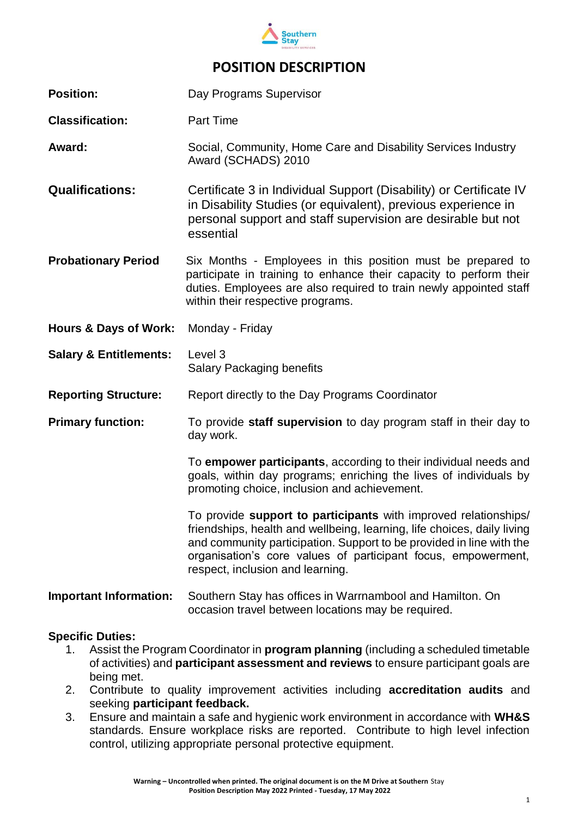

| <b>Position:</b>                  | Day Programs Supervisor                                                                                                                                                                                                                                                                                                 |  |  |
|-----------------------------------|-------------------------------------------------------------------------------------------------------------------------------------------------------------------------------------------------------------------------------------------------------------------------------------------------------------------------|--|--|
| <b>Classification:</b>            | <b>Part Time</b>                                                                                                                                                                                                                                                                                                        |  |  |
| Award:                            | Social, Community, Home Care and Disability Services Industry<br>Award (SCHADS) 2010                                                                                                                                                                                                                                    |  |  |
| <b>Qualifications:</b>            | Certificate 3 in Individual Support (Disability) or Certificate IV<br>in Disability Studies (or equivalent), previous experience in<br>personal support and staff supervision are desirable but not<br>essential                                                                                                        |  |  |
| <b>Probationary Period</b>        | Six Months - Employees in this position must be prepared to<br>participate in training to enhance their capacity to perform their<br>duties. Employees are also required to train newly appointed staff<br>within their respective programs.                                                                            |  |  |
| <b>Hours &amp; Days of Work:</b>  | Monday - Friday                                                                                                                                                                                                                                                                                                         |  |  |
|                                   |                                                                                                                                                                                                                                                                                                                         |  |  |
| <b>Salary &amp; Entitlements:</b> | Level 3<br><b>Salary Packaging benefits</b>                                                                                                                                                                                                                                                                             |  |  |
| <b>Reporting Structure:</b>       | Report directly to the Day Programs Coordinator                                                                                                                                                                                                                                                                         |  |  |
| <b>Primary function:</b>          | To provide staff supervision to day program staff in their day to<br>day work.                                                                                                                                                                                                                                          |  |  |
|                                   | To empower participants, according to their individual needs and<br>goals, within day programs; enriching the lives of individuals by<br>promoting choice, inclusion and achievement.                                                                                                                                   |  |  |
|                                   | To provide support to participants with improved relationships/<br>friendships, health and wellbeing, learning, life choices, daily living<br>and community participation. Support to be provided in line with the<br>organisation's core values of participant focus, empowerment,<br>respect, inclusion and learning. |  |  |

#### **Specific Duties:**

1. Assist the Program Coordinator in **program planning** (including a scheduled timetable of activities) and **participant assessment and reviews** to ensure participant goals are being met.

occasion travel between locations may be required.

- 2. Contribute to quality improvement activities including **accreditation audits** and seeking **participant feedback.**
- 3. Ensure and maintain a safe and hygienic work environment in accordance with **WH&S** standards. Ensure workplace risks are reported. Contribute to high level infection control, utilizing appropriate personal protective equipment.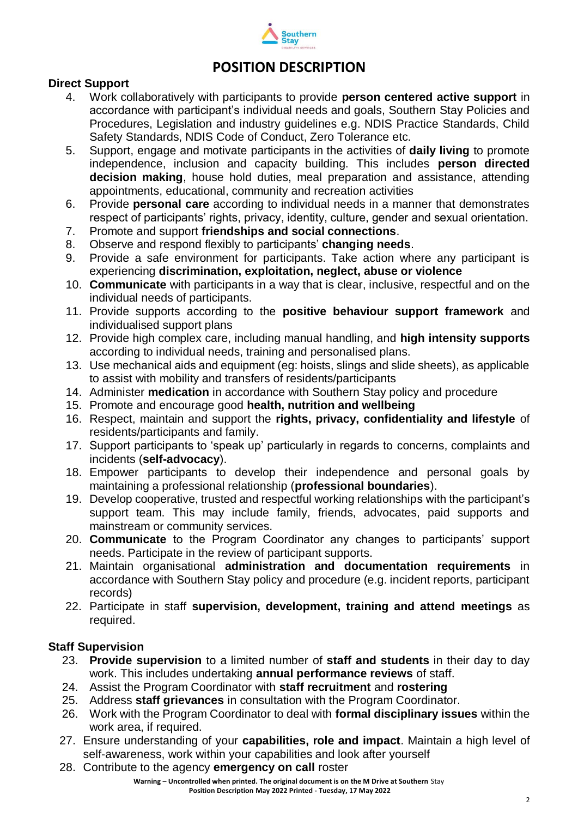

#### **Direct Support**

- 4. Work collaboratively with participants to provide **person centered active support** in accordance with participant's individual needs and goals, Southern Stay Policies and Procedures, Legislation and industry guidelines e.g. NDIS Practice Standards, Child Safety Standards, NDIS Code of Conduct, Zero Tolerance etc.
- 5. Support, engage and motivate participants in the activities of **daily living** to promote independence, inclusion and capacity building. This includes **person directed decision making**, house hold duties, meal preparation and assistance, attending appointments, educational, community and recreation activities
- 6. Provide **personal care** according to individual needs in a manner that demonstrates respect of participants' rights, privacy, identity, culture, gender and sexual orientation.
- 7. Promote and support **friendships and social connections**.
- 8. Observe and respond flexibly to participants' **changing needs**.
- 9. Provide a safe environment for participants. Take action where any participant is experiencing **discrimination, exploitation, neglect, abuse or violence**
- 10. **Communicate** with participants in a way that is clear, inclusive, respectful and on the individual needs of participants.
- 11. Provide supports according to the **positive behaviour support framework** and individualised support plans
- 12. Provide high complex care, including manual handling, and **high intensity supports** according to individual needs, training and personalised plans.
- 13. Use mechanical aids and equipment (eg: hoists, slings and slide sheets), as applicable to assist with mobility and transfers of residents/participants
- 14. Administer **medication** in accordance with Southern Stay policy and procedure
- 15. Promote and encourage good **health, nutrition and wellbeing**
- 16. Respect, maintain and support the **rights, privacy, confidentiality and lifestyle** of residents/participants and family.
- 17. Support participants to 'speak up' particularly in regards to concerns, complaints and incidents (**self-advocacy**).
- 18. Empower participants to develop their independence and personal goals by maintaining a professional relationship (**professional boundaries**).
- 19. Develop cooperative, trusted and respectful working relationships with the participant's support team. This may include family, friends, advocates, paid supports and mainstream or community services.
- 20. **Communicate** to the Program Coordinator any changes to participants' support needs. Participate in the review of participant supports.
- 21. Maintain organisational **administration and documentation requirements** in accordance with Southern Stay policy and procedure (e.g. incident reports, participant records)
- 22. Participate in staff **supervision, development, training and attend meetings** as required.

#### **Staff Supervision**

- 23. **Provide supervision** to a limited number of **staff and students** in their day to day work. This includes undertaking **annual performance reviews** of staff.
- 24. Assist the Program Coordinator with **staff recruitment** and **rostering**
- 25. Address **staff grievances** in consultation with the Program Coordinator.
- 26. Work with the Program Coordinator to deal with **formal disciplinary issues** within the work area, if required.
- 27. Ensure understanding of your **capabilities, role and impact**. Maintain a high level of self-awareness, work within your capabilities and look after yourself
- 28. Contribute to the agency **emergency on call** roster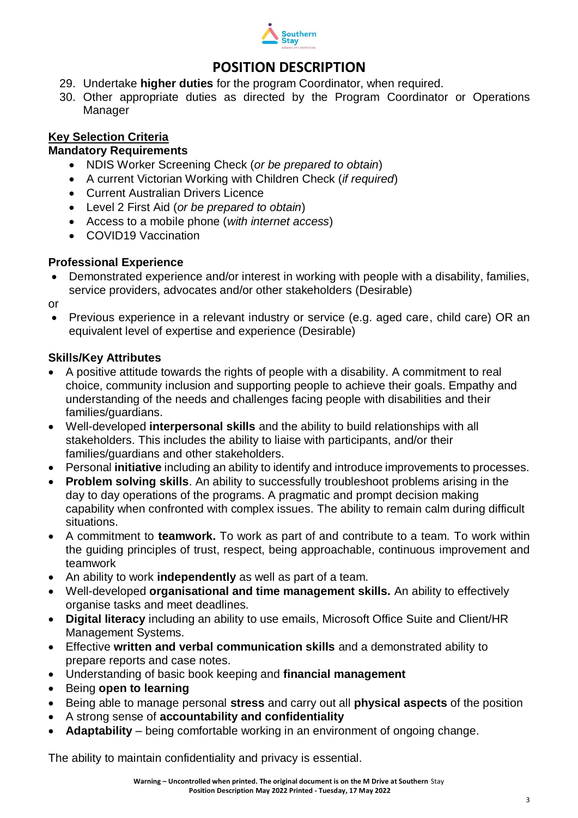

- 29. Undertake **higher duties** for the program Coordinator, when required.
- 30. Other appropriate duties as directed by the Program Coordinator or Operations Manager

### **Key Selection Criteria**

### **Mandatory Requirements**

- NDIS Worker Screening Check (*or be prepared to obtain*)
- A current Victorian Working with Children Check (*if required*)
- Current Australian Drivers Licence
- Level 2 First Aid (*or be prepared to obtain*)
- Access to a mobile phone (*with internet access*)
- COVID19 Vaccination

### **Professional Experience**

• Demonstrated experience and/or interest in working with people with a disability, families, service providers, advocates and/or other stakeholders (Desirable)

or

• Previous experience in a relevant industry or service (e.g. aged care, child care) OR an equivalent level of expertise and experience (Desirable)

### **Skills/Key Attributes**

- A positive attitude towards the rights of people with a disability. A commitment to real choice, community inclusion and supporting people to achieve their goals. Empathy and understanding of the needs and challenges facing people with disabilities and their families/guardians.
- Well-developed **interpersonal skills** and the ability to build relationships with all stakeholders. This includes the ability to liaise with participants, and/or their families/guardians and other stakeholders.
- Personal **initiative** including an ability to identify and introduce improvements to processes.
- **Problem solving skills**. An ability to successfully troubleshoot problems arising in the day to day operations of the programs. A pragmatic and prompt decision making capability when confronted with complex issues. The ability to remain calm during difficult situations.
- A commitment to **teamwork.** To work as part of and contribute to a team. To work within the guiding principles of trust, respect, being approachable, continuous improvement and teamwork
- An ability to work **independently** as well as part of a team.
- Well-developed **organisational and time management skills.** An ability to effectively organise tasks and meet deadlines.
- **Digital literacy** including an ability to use emails, Microsoft Office Suite and Client/HR Management Systems.
- Effective **written and verbal communication skills** and a demonstrated ability to prepare reports and case notes.
- Understanding of basic book keeping and **financial management**
- Being **open to learning**
- Being able to manage personal **stress** and carry out all **physical aspects** of the position
- A strong sense of **accountability and confidentiality**
- **Adaptability** being comfortable working in an environment of ongoing change.

The ability to maintain confidentiality and privacy is essential.